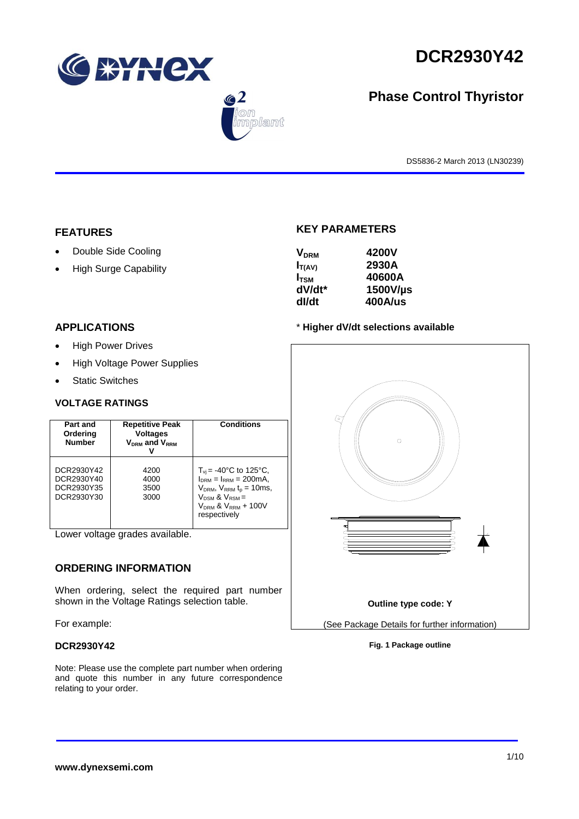





# **Phase Control Thyristor**

DS5836-2 March 2013 (LN30239)

# **FEATURES**

- Double Side Cooling
- High Surge Capability

## **APPLICATIONS**

- High Power Drives
- High Voltage Power Supplies
- Static Switches

## **VOLTAGE RATINGS**

| Part and<br>Ordering<br><b>Number</b>                | <b>Repetitive Peak</b><br><b>Voltages</b><br>$V_{DRM}$ and $V_{RRM}$ | <b>Conditions</b>                                                                                                                                                                         |
|------------------------------------------------------|----------------------------------------------------------------------|-------------------------------------------------------------------------------------------------------------------------------------------------------------------------------------------|
| DCR2930Y42<br>DCR2930Y40<br>DCR2930Y35<br>DCR2930Y30 | 4200<br>4000<br>3500<br>3000                                         | $T_{\rm vi}$ = -40°C to 125°C,<br>$I_{DRM} = I_{RRM} = 200 \text{mA}$<br>$V_{DRM}$ , $V_{RRM}$ $t_{p}$ = 10ms,<br>$V_{DSM}$ & $V_{RSM}$ =<br>$V_{DRM}$ & $V_{RRM}$ + 100V<br>respectively |

Lower voltage grades available.

# **ORDERING INFORMATION**

When ordering, select the required part number shown in the Voltage Ratings selection table.

For example:

## **DCR2930Y42**

Note: Please use the complete part number when ordering and quote this number in any future correspondence relating to your order.

# **KEY PARAMETERS**

| <b>V<sub>DRM</sub></b> | 4200V          |
|------------------------|----------------|
| $I_{T(AV)}$            | 2930A          |
| $I_{\text{TSM}}$       | 40600A         |
| dV/dt*                 | 1500V/µs       |
| dl/dt                  | <b>400A/us</b> |

## \* **Higher dV/dt selections available**



### **Fig. 1 Package outline**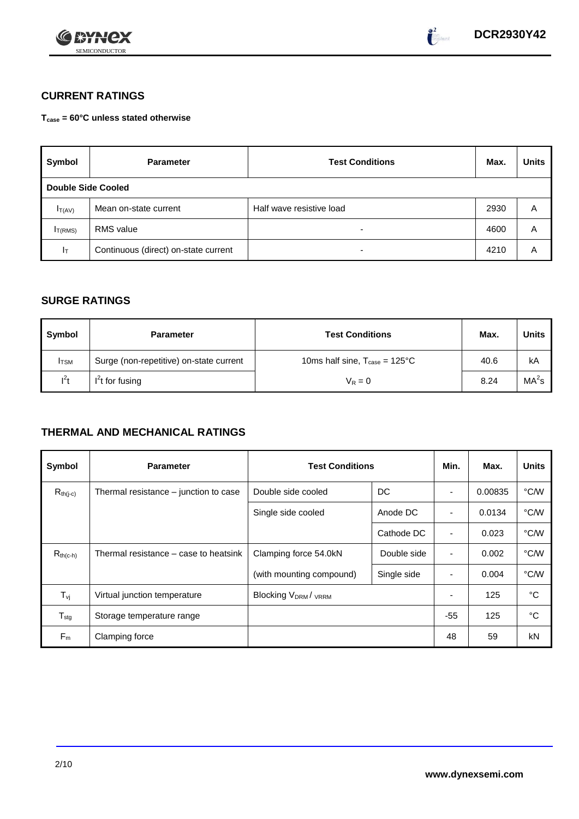



# **CURRENT RATINGS**

**Tcase = 60°C unless stated otherwise**

| Symbol              | <b>Parameter</b>                     | <b>Test Conditions</b>   | Max. | <b>Units</b> |
|---------------------|--------------------------------------|--------------------------|------|--------------|
| Double Side Cooled  |                                      |                          |      |              |
| $I_{T(AV)}$         | Mean on-state current                | Half wave resistive load | 2930 | A            |
| I <sub>T(RMS)</sub> | <b>RMS</b> value                     | -                        | 4600 | Α            |
| Iτ                  | Continuous (direct) on-state current | $\overline{\phantom{0}}$ | 4210 | Α            |

# **SURGE RATINGS**

| Symbol       | <b>Parameter</b>                        | <b>Test Conditions</b>                           | Max. | Units             |
|--------------|-----------------------------------------|--------------------------------------------------|------|-------------------|
| <b>I</b> TSM | Surge (non-repetitive) on-state current | 10ms half sine, $T_{\text{case}} = 125^{\circ}C$ | 40.6 | kA                |
| $l^2t$       | $I2t$ for fusing                        | $V_R = 0$                                        | 8.24 | MA <sup>2</sup> s |

# **THERMAL AND MECHANICAL RATINGS**

| Symbol                         | <b>Parameter</b>                      | <b>Test Conditions</b>                      |             | Min.           | Max.    | <b>Units</b> |
|--------------------------------|---------------------------------------|---------------------------------------------|-------------|----------------|---------|--------------|
| $R_{th(j-c)}$                  | Thermal resistance – junction to case | Double side cooled                          | DC          |                | 0.00835 | °C/W         |
|                                |                                       | Single side cooled                          | Anode DC    | ٠              | 0.0134  | °C/W         |
|                                |                                       |                                             | Cathode DC  | $\blacksquare$ | 0.023   | °C/W         |
| $R_{th(c-h)}$                  | Thermal resistance – case to heatsink | Clamping force 54.0kN                       | Double side | $\blacksquare$ | 0.002   | °C/W         |
|                                |                                       | (with mounting compound)                    | Single side |                | 0.004   | °C/W         |
| $T_{\rm\scriptscriptstyle VI}$ | Virtual junction temperature          | Blocking V <sub>DRM</sub> / <sub>VRRM</sub> |             |                | 125     | °C           |
| $T_{\text{stg}}$               | Storage temperature range             |                                             |             | $-55$          | 125     | °C           |
| $F_m$                          | Clamping force                        |                                             |             | 48             | 59      | kN           |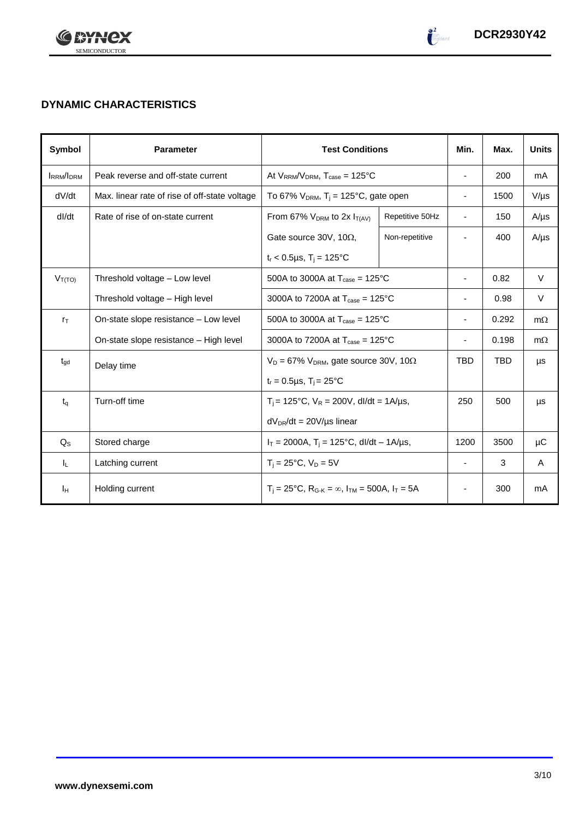



# **DYNAMIC CHARACTERISTICS**

| Symbol           | <b>Parameter</b>                              | <b>Test Conditions</b>                                                                          |                 | Min.                     | Max.  | <b>Units</b> |
|------------------|-----------------------------------------------|-------------------------------------------------------------------------------------------------|-----------------|--------------------------|-------|--------------|
| <b>IRRM/IDRM</b> | Peak reverse and off-state current            | At $V_{RRM}/V_{DRM}$ , $T_{case} = 125^{\circ}C$                                                |                 | $\overline{\phantom{a}}$ | 200   | mA           |
| dV/dt            | Max. linear rate of rise of off-state voltage | To 67% $V_{DRM}$ , T <sub>j</sub> = 125°C, gate open                                            |                 | $\overline{\phantom{a}}$ | 1500  | $V/\mu s$    |
| dl/dt            | Rate of rise of on-state current              | From 67% $V_{DRM}$ to 2x $I_{T(AV)}$                                                            | Repetitive 50Hz | $\overline{\phantom{a}}$ | 150   | $A/\mu s$    |
|                  |                                               | Gate source 30V, 10 $\Omega$ ,                                                                  | Non-repetitive  |                          | 400   | $A/\mu s$    |
|                  |                                               | $t_r < 0.5 \mu s$ , $T_i = 125$ °C                                                              |                 |                          |       |              |
| $V_{T(TO)}$      | Threshold voltage - Low level                 | 500A to 3000A at $T_{\text{case}} = 125^{\circ}$ C                                              |                 |                          | 0.82  | $\vee$       |
|                  | Threshold voltage - High level                | 3000A to 7200A at $T_{\text{case}} = 125^{\circ}$ C                                             |                 |                          | 0.98  | $\vee$       |
| $r_{\text{T}}$   | On-state slope resistance - Low level         | 500A to 3000A at $T_{\text{case}} = 125^{\circ}C$                                               |                 |                          | 0.292 | $m\Omega$    |
|                  | On-state slope resistance - High level        | 3000A to 7200A at $T_{\text{case}} = 125^{\circ}$ C                                             |                 |                          | 0.198 | $m\Omega$    |
| $t_{\text{qd}}$  | Delay time                                    | $V_D = 67\%$ V <sub>DRM</sub> , gate source 30V, 10 $\Omega$                                    |                 | <b>TBD</b>               | TBD   | μs           |
|                  |                                               | $t_r = 0.5 \mu s$ , $T_i = 25^{\circ}C$                                                         |                 |                          |       |              |
| $t_{\alpha}$     | Turn-off time                                 | $T_i$ = 125°C, $V_R$ = 200V, dl/dt = 1A/µs,                                                     |                 | 250                      | 500   | μs           |
|                  |                                               | $dV_{DR}/dt = 20V/\mu s$ linear                                                                 |                 |                          |       |              |
| $Q_{\rm S}$      | Stored charge                                 | $I_T = 2000A$ , $T_i = 125^{\circ}C$ , dl/dt – 1A/µs,                                           |                 | 1200                     | 3500  | μC           |
| IL.              | Latching current                              | $T_i = 25^{\circ}C$ , $V_D = 5V$                                                                |                 | $\blacksquare$           | 3     | A            |
| Iн               | Holding current                               | $T_i = 25^{\circ}C$ , R <sub>G-K</sub> = $\infty$ , I <sub>TM</sub> = 500A, I <sub>T</sub> = 5A |                 |                          | 300   | mA           |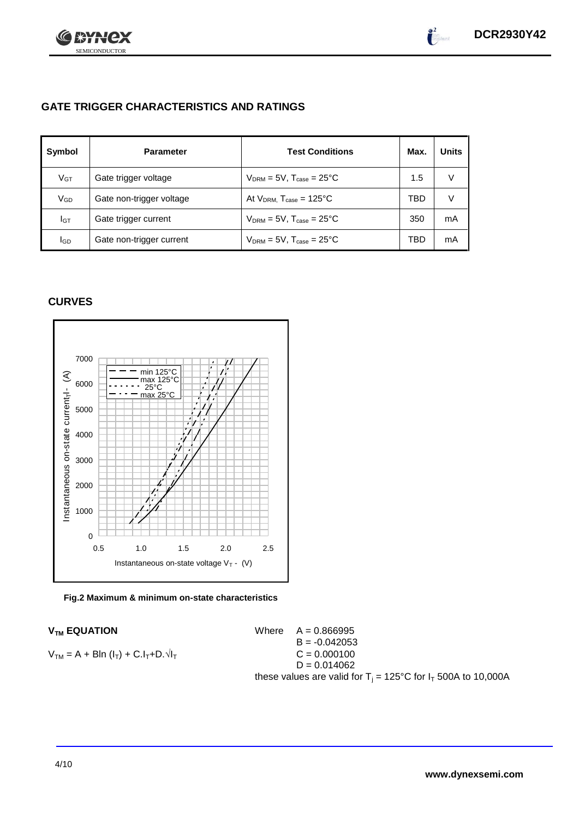

# **GATE TRIGGER CHARACTERISTICS AND RATINGS**

| Symbol          | <b>Parameter</b>         | <b>Test Conditions</b>                    | Max. | <b>Units</b> |
|-----------------|--------------------------|-------------------------------------------|------|--------------|
| V <sub>GT</sub> | Gate trigger voltage     | $V_{DRM} = 5V$ , $T_{case} = 25^{\circ}C$ | 1.5  | V            |
| VGD             | Gate non-trigger voltage | At $V_{DRM}$ , $T_{case} = 125^{\circ}C$  | TBD  | V            |
| IGТ             | Gate trigger current     | $V_{DRM}$ = 5V, $T_{case}$ = 25°C         | 350  | mA           |
| lgp             | Gate non-trigger current | $V_{DRM}$ = 5V, $T_{case}$ = 25°C         | TBD  | mA           |

# **CURVES**





 $V_{TM}$  **EQUATION** Where  $A = 0.866995$  $B = -0.042053$  $V_{TM} = A + B\ln(I_T) + C.I_T + D.\sqrt{I_T}$  C = 0.000100  $D = 0.014062$ these values are valid for  $T_i = 125^{\circ}$ C for  $I_T$  500A to 10,000A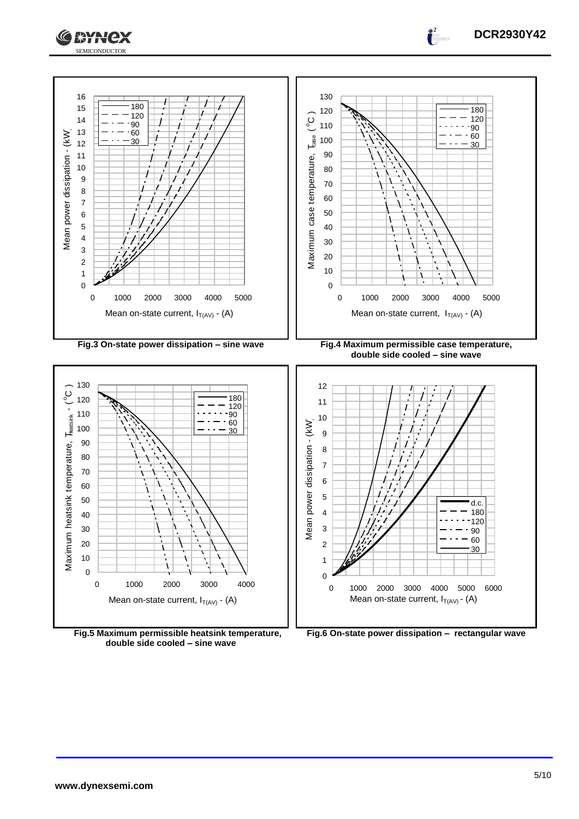



**Fig.5 Maximum permissible heatsink temperature, double side cooled – sine wave**

**DCR2930Y42**

 $\int_0^2$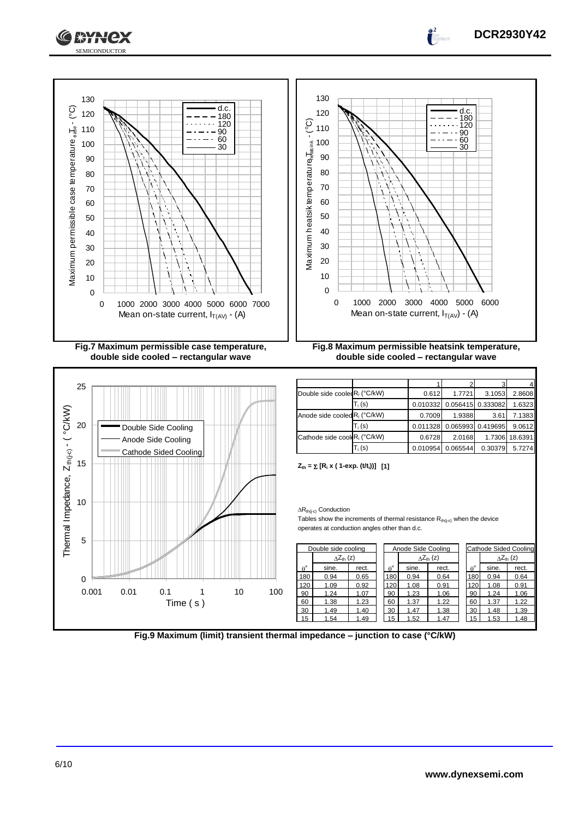





**DCR2930Y42**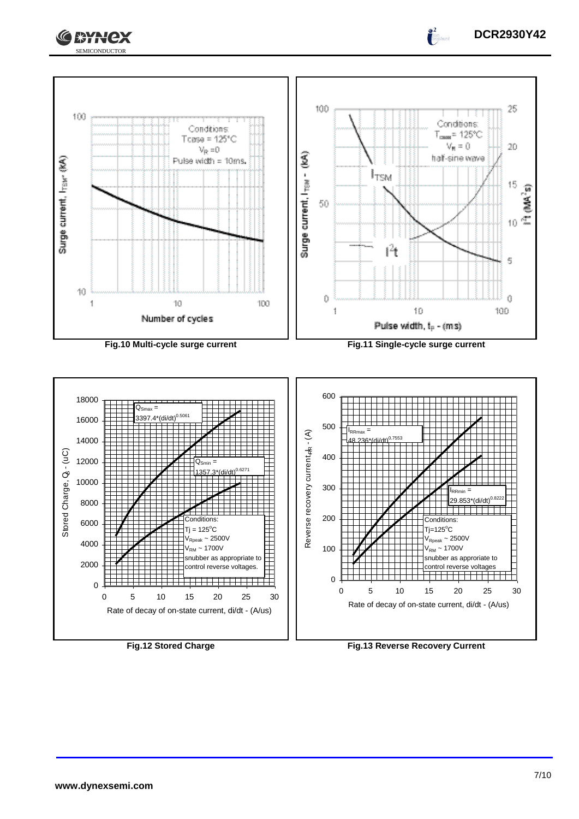





**DCR2930Y42**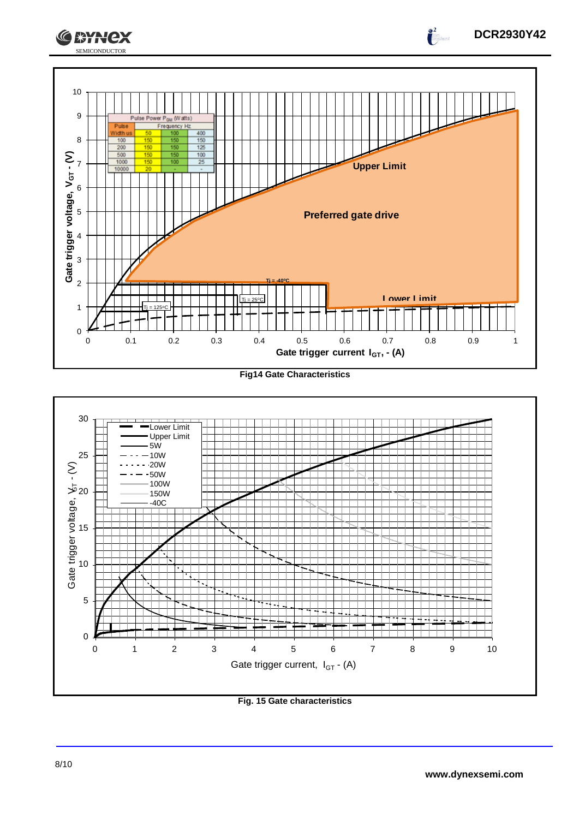

**Fig14 Gate Characteristics**



**Fig. 15 Gate characteristics**

**DCR2930Y42**

 $\int_0^2$ 

**CEYNEX**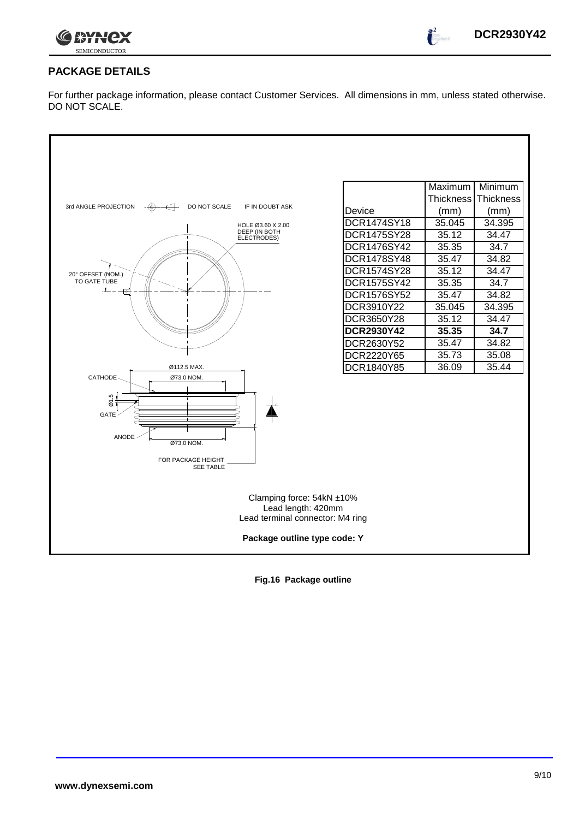

 $\int_0^2$ 

## **PACKAGE DETAILS**

For further package information, please contact Customer Services. All dimensions in mm, unless stated otherwise. DO NOT SCALE.



**Fig.16 Package outline**